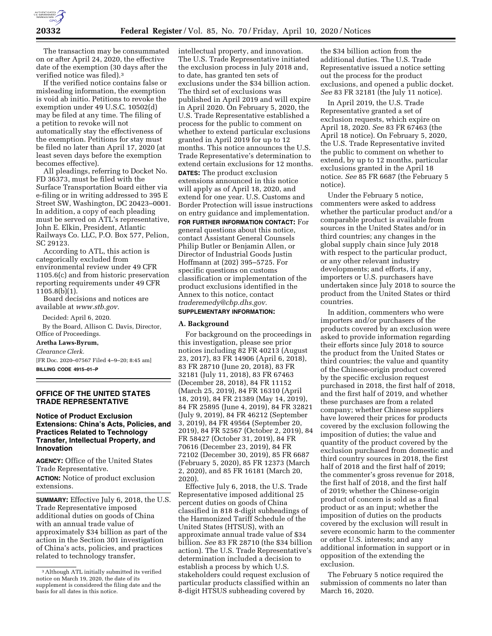

The transaction may be consummated on or after April 24, 2020, the effective date of the exemption (30 days after the verified notice was filed).3

If the verified notice contains false or misleading information, the exemption is void ab initio. Petitions to revoke the exemption under 49 U.S.C. 10502(d) may be filed at any time. The filing of a petition to revoke will not automatically stay the effectiveness of the exemption. Petitions for stay must be filed no later than April 17, 2020 (at least seven days before the exemption becomes effective).

All pleadings, referring to Docket No. FD 36373, must be filed with the Surface Transportation Board either via e-filing or in writing addressed to 395 E Street SW, Washington, DC 20423–0001. In addition, a copy of each pleading must be served on ATL's representative, John E. Elkin, President, Atlantic Railways Co. LLC, P.O. Box 577, Pelion, SC 29123.

According to ATL, this action is categorically excluded from environmental review under 49 CFR 1105.6(c) and from historic preservation reporting requirements under 49 CFR 1105.8(b)(1).

Board decisions and notices are available at *[www.stb.gov.](http://www.stb.gov)* 

Decided: April 6, 2020.

By the Board, Allison C. Davis, Director, Office of Proceedings.

**Aretha Laws-Byrum,**  *Clearance Clerk.*  [FR Doc. 2020–07567 Filed 4–9–20; 8:45 am]

**BILLING CODE 4915–01–P** 

## **OFFICE OF THE UNITED STATES TRADE REPRESENTATIVE**

# **Notice of Product Exclusion Extensions: China's Acts, Policies, and Practices Related to Technology Transfer, Intellectual Property, and Innovation**

**AGENCY:** Office of the United States Trade Representative. **ACTION:** Notice of product exclusion extensions.

**SUMMARY:** Effective July 6, 2018, the U.S. Trade Representative imposed additional duties on goods of China with an annual trade value of approximately \$34 billion as part of the action in the Section 301 investigation of China's acts, policies, and practices related to technology transfer,

intellectual property, and innovation. The U.S. Trade Representative initiated the exclusion process in July 2018 and, to date, has granted ten sets of exclusions under the \$34 billion action. The third set of exclusions was published in April 2019 and will expire in April 2020. On February 5, 2020, the U.S. Trade Representative established a process for the public to comment on whether to extend particular exclusions granted in April 2019 for up to 12 months. This notice announces the U.S. Trade Representative's determination to extend certain exclusions for 12 months. **DATES:** The product exclusion extensions announced in this notice will apply as of April 18, 2020, and extend for one year. U.S. Customs and Border Protection will issue instructions

## on entry guidance and implementation. **FOR FURTHER INFORMATION CONTACT:** For

general questions about this notice, contact Assistant General Counsels Philip Butler or Benjamin Allen, or Director of Industrial Goods Justin Hoffmann at (202) 395–5725. For specific questions on customs classification or implementation of the product exclusions identified in the Annex to this notice, contact *[traderemedy@cbp.dhs.gov.](mailto:traderemedy@cbp.dhs.gov)* 

### **SUPPLEMENTARY INFORMATION:**

### **A. Background**

For background on the proceedings in this investigation, please see prior notices including 82 FR 40213 (August 23, 2017), 83 FR 14906 (April 6, 2018), 83 FR 28710 (June 20, 2018), 83 FR 32181 (July 11, 2018), 83 FR 67463 (December 28, 2018), 84 FR 11152 (March 25, 2019), 84 FR 16310 (April 18, 2019), 84 FR 21389 (May 14, 2019), 84 FR 25895 (June 4, 2019), 84 FR 32821 (July 9, 2019), 84 FR 46212 (September 3, 2019), 84 FR 49564 (September 20, 2019), 84 FR 52567 (October 2, 2019), 84 FR 58427 (October 31, 2019), 84 FR 70616 (December 23, 2019), 84 FR 72102 (December 30, 2019), 85 FR 6687 (February 5, 2020), 85 FR 12373 (March 2, 2020), and 85 FR 16181 (March 20, 2020).

Effective July 6, 2018, the U.S. Trade Representative imposed additional 25 percent duties on goods of China classified in 818 8-digit subheadings of the Harmonized Tariff Schedule of the United States (HTSUS), with an approximate annual trade value of \$34 billion. *See* 83 FR 28710 (the \$34 billion action). The U.S. Trade Representative's determination included a decision to establish a process by which U.S. stakeholders could request exclusion of particular products classified within an 8-digit HTSUS subheading covered by

the \$34 billion action from the additional duties. The U.S. Trade Representative issued a notice setting out the process for the product exclusions, and opened a public docket. *See* 83 FR 32181 (the July 11 notice).

In April 2019, the U.S. Trade Representative granted a set of exclusion requests, which expire on April 18, 2020. *See* 83 FR 67463 (the April 18 notice). On February 5, 2020, the U.S. Trade Representative invited the public to comment on whether to extend, by up to 12 months, particular exclusions granted in the April 18 notice. *See* 85 FR 6687 (the February 5 notice).

Under the February 5 notice, commenters were asked to address whether the particular product and/or a comparable product is available from sources in the United States and/or in third countries; any changes in the global supply chain since July 2018 with respect to the particular product, or any other relevant industry developments; and efforts, if any, importers or U.S. purchasers have undertaken since July 2018 to source the product from the United States or third countries.

In addition, commenters who were importers and/or purchasers of the products covered by an exclusion were asked to provide information regarding their efforts since July 2018 to source the product from the United States or third countries; the value and quantity of the Chinese-origin product covered by the specific exclusion request purchased in 2018, the first half of 2018, and the first half of 2019, and whether these purchases are from a related company; whether Chinese suppliers have lowered their prices for products covered by the exclusion following the imposition of duties; the value and quantity of the product covered by the exclusion purchased from domestic and third country sources in 2018, the first half of 2018 and the first half of 2019; the commenter's gross revenue for 2018, the first half of 2018, and the first half of 2019; whether the Chinese-origin product of concern is sold as a final product or as an input; whether the imposition of duties on the products covered by the exclusion will result in severe economic harm to the commenter or other U.S. interests; and any additional information in support or in opposition of the extending the exclusion.

The February 5 notice required the submission of comments no later than March 16, 2020.

<sup>3</sup>Although ATL initially submitted its verified notice on March 19, 2020, the date of its supplement is considered the filing date and the basis for all dates in this notice.